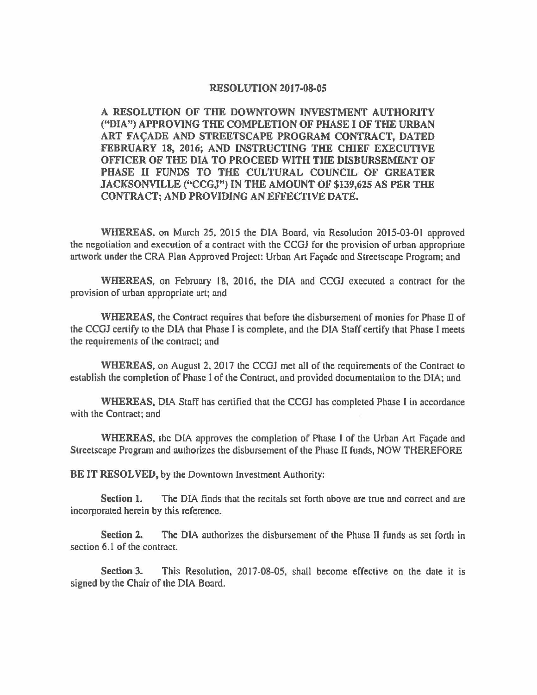## **RESOLUTION 2017-08-05**

**A RESOLUTION OF THE DOWNTOWN INVESTMENT AUTHORITY ("DIA") APPROVING THE COMPLETION OF PHASE** I **OF THE URBAN ART FAc;ADE AND STREETSCAPE PROGRAM CONTRACT, DATED FEBRUARY 18, 2016; AND INSTRUCTING THE CHIEF EXECUTIVE OFFICER OF THE DIA TO PROCEED WITH THE DISBURSEMENT OF PHASE** II **FUNDS TO THE CULTURAL COUNCIL OF GREATER JACKSONVILLE ("CCGJ") IN THE AMOUNT OF \$139,625 AS PER THE CONTRACT; AND PROVIDING AN EFFECTIVE DATE.** 

**WHEREAS,** on March 25, 2015 the DIA Board, via Resolution 2015-03-01 approved the negotiation and execution of a contract with the CCGJ for the provision of urban appropriate artwork under the CRA Plan Approved Project: Urban Art Façade and Streetscape Program; and

**WHEREAS,** on February 18, 2016, the DlA and CCGJ executed a contract for the provision of urban appropriate art; and

**WHEREAS,** the Contract requires that before the disbursement of monies for Phase D of the CCGJ certify to the DIA that Phase I is complete, and the DIA Staff certify 1hat Phase I meets the requirements of the contract; and

**WHEREAS,** on August 2, 2017 the CCGJ met all of the requirements of the Contract to establish the completion of Phase I of the Contract, and provided documentation to the DIA; and

**WHEREAS, DIA Staff has certified that the CCGJ has completed Phase I in accordance** with the Contract; and

**WHEREAS, the DIA approves the completion of Phase I of the Urban Art Facade and** Streetscape Program and authorizes the disbursement of the Phase II funds, NOW THEREFORE

**BE IT RESOLVED,** by the Downtown Investment Authority:

**Section 1.** The DIA finds that the recitals set forth above are true and correct and are incorporated herein by this reference.

**Section 2.** The DIA authorizes the disbursement of the Phase II funds as set forth in section 6.1 of the contract.

**Section** 3. This Resolution, 2017-08-05, shall become effective on the date it is signed by the Chair of the DIA Board.